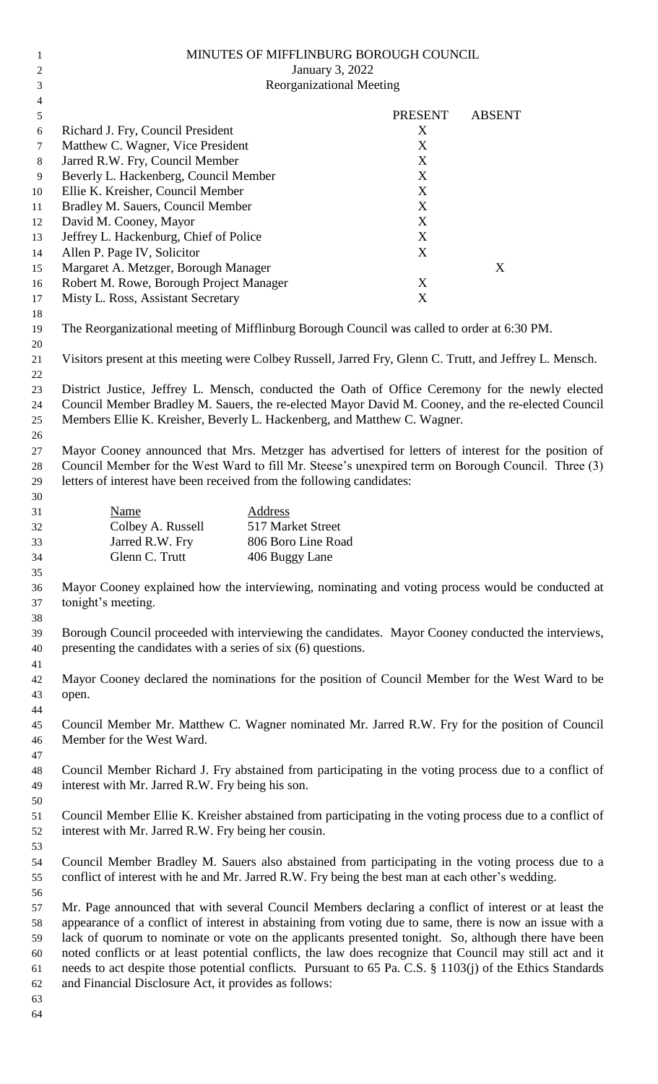| $\mathbf{1}$        | MINUTES OF MIFFLINBURG BOROUGH COUNCIL                                                                                                                                                                 |                                         |  |                |               |  |  |  |
|---------------------|--------------------------------------------------------------------------------------------------------------------------------------------------------------------------------------------------------|-----------------------------------------|--|----------------|---------------|--|--|--|
| $\overline{c}$      | January 3, 2022<br><b>Reorganizational Meeting</b>                                                                                                                                                     |                                         |  |                |               |  |  |  |
| 3                   |                                                                                                                                                                                                        |                                         |  |                |               |  |  |  |
| $\overline{4}$<br>5 |                                                                                                                                                                                                        |                                         |  | <b>PRESENT</b> | <b>ABSENT</b> |  |  |  |
| 6                   | Richard J. Fry, Council President                                                                                                                                                                      |                                         |  | X              |               |  |  |  |
| 7                   | Matthew C. Wagner, Vice President                                                                                                                                                                      |                                         |  | X              |               |  |  |  |
| $\,8\,$             | Jarred R.W. Fry, Council Member                                                                                                                                                                        |                                         |  | X              |               |  |  |  |
| 9                   | Beverly L. Hackenberg, Council Member                                                                                                                                                                  |                                         |  | X              |               |  |  |  |
| 10                  | Ellie K. Kreisher, Council Member                                                                                                                                                                      |                                         |  | X              |               |  |  |  |
| 11                  | Bradley M. Sauers, Council Member                                                                                                                                                                      |                                         |  | $\mathbf X$    |               |  |  |  |
| 12                  | David M. Cooney, Mayor                                                                                                                                                                                 |                                         |  | X              |               |  |  |  |
| 13                  | Jeffrey L. Hackenburg, Chief of Police                                                                                                                                                                 |                                         |  | $\mathbf X$    |               |  |  |  |
| 14                  | Allen P. Page IV, Solicitor                                                                                                                                                                            |                                         |  | X              |               |  |  |  |
| 15                  | Margaret A. Metzger, Borough Manager                                                                                                                                                                   |                                         |  |                | X             |  |  |  |
| 16                  | Robert M. Rowe, Borough Project Manager                                                                                                                                                                |                                         |  | X              |               |  |  |  |
| 17                  | Misty L. Ross, Assistant Secretary                                                                                                                                                                     |                                         |  | X              |               |  |  |  |
| 18<br>19            | The Reorganizational meeting of Mifflinburg Borough Council was called to order at 6:30 PM.                                                                                                            |                                         |  |                |               |  |  |  |
| 20<br>21<br>22      | Visitors present at this meeting were Colbey Russell, Jarred Fry, Glenn C. Trutt, and Jeffrey L. Mensch.                                                                                               |                                         |  |                |               |  |  |  |
| 23                  |                                                                                                                                                                                                        |                                         |  |                |               |  |  |  |
| 24                  | District Justice, Jeffrey L. Mensch, conducted the Oath of Office Ceremony for the newly elected<br>Council Member Bradley M. Sauers, the re-elected Mayor David M. Cooney, and the re-elected Council |                                         |  |                |               |  |  |  |
| 25                  | Members Ellie K. Kreisher, Beverly L. Hackenberg, and Matthew C. Wagner.                                                                                                                               |                                         |  |                |               |  |  |  |
| 26                  |                                                                                                                                                                                                        |                                         |  |                |               |  |  |  |
| 27                  | Mayor Cooney announced that Mrs. Metzger has advertised for letters of interest for the position of                                                                                                    |                                         |  |                |               |  |  |  |
| 28                  | Council Member for the West Ward to fill Mr. Steese's unexpired term on Borough Council. Three (3)                                                                                                     |                                         |  |                |               |  |  |  |
| 29                  | letters of interest have been received from the following candidates:                                                                                                                                  |                                         |  |                |               |  |  |  |
| 30                  |                                                                                                                                                                                                        |                                         |  |                |               |  |  |  |
| 31                  | Name                                                                                                                                                                                                   | Address                                 |  |                |               |  |  |  |
| 32<br>33            | Colbey A. Russell<br>Jarred R.W. Fry                                                                                                                                                                   | 517 Market Street<br>806 Boro Line Road |  |                |               |  |  |  |
| 34                  | Glenn C. Trutt                                                                                                                                                                                         | 406 Buggy Lane                          |  |                |               |  |  |  |
| 35                  |                                                                                                                                                                                                        |                                         |  |                |               |  |  |  |
| 36<br>37            | Mayor Cooney explained how the interviewing, nominating and voting process would be conducted at<br>tonight's meeting.                                                                                 |                                         |  |                |               |  |  |  |
| 38<br>39<br>40      | Borough Council proceeded with interviewing the candidates. Mayor Cooney conducted the interviews,<br>presenting the candidates with a series of six (6) questions.                                    |                                         |  |                |               |  |  |  |
| 41                  |                                                                                                                                                                                                        |                                         |  |                |               |  |  |  |
| 42                  | Mayor Cooney declared the nominations for the position of Council Member for the West Ward to be                                                                                                       |                                         |  |                |               |  |  |  |
| 43                  | open.                                                                                                                                                                                                  |                                         |  |                |               |  |  |  |
| 44                  |                                                                                                                                                                                                        |                                         |  |                |               |  |  |  |
| 45                  | Council Member Mr. Matthew C. Wagner nominated Mr. Jarred R.W. Fry for the position of Council                                                                                                         |                                         |  |                |               |  |  |  |
| 46                  | Member for the West Ward.                                                                                                                                                                              |                                         |  |                |               |  |  |  |
| 47                  |                                                                                                                                                                                                        |                                         |  |                |               |  |  |  |
| 48                  | Council Member Richard J. Fry abstained from participating in the voting process due to a conflict of                                                                                                  |                                         |  |                |               |  |  |  |
| 49                  | interest with Mr. Jarred R.W. Fry being his son.                                                                                                                                                       |                                         |  |                |               |  |  |  |
| 50                  |                                                                                                                                                                                                        |                                         |  |                |               |  |  |  |
| 51<br>52            | Council Member Ellie K. Kreisher abstained from participating in the voting process due to a conflict of<br>interest with Mr. Jarred R.W. Fry being her cousin.                                        |                                         |  |                |               |  |  |  |
| 53                  |                                                                                                                                                                                                        |                                         |  |                |               |  |  |  |
| 54                  | Council Member Bradley M. Sauers also abstained from participating in the voting process due to a                                                                                                      |                                         |  |                |               |  |  |  |
| 55                  | conflict of interest with he and Mr. Jarred R.W. Fry being the best man at each other's wedding.                                                                                                       |                                         |  |                |               |  |  |  |
| 56                  |                                                                                                                                                                                                        |                                         |  |                |               |  |  |  |
| 57                  | Mr. Page announced that with several Council Members declaring a conflict of interest or at least the                                                                                                  |                                         |  |                |               |  |  |  |
| 58                  | appearance of a conflict of interest in abstaining from voting due to same, there is now an issue with a                                                                                               |                                         |  |                |               |  |  |  |
| 59                  | lack of quorum to nominate or vote on the applicants presented tonight. So, although there have been                                                                                                   |                                         |  |                |               |  |  |  |
| 60                  | noted conflicts or at least potential conflicts, the law does recognize that Council may still act and it                                                                                              |                                         |  |                |               |  |  |  |
| 61                  | needs to act despite those potential conflicts. Pursuant to 65 Pa. C.S. § 1103(j) of the Ethics Standards                                                                                              |                                         |  |                |               |  |  |  |
| 62                  | and Financial Disclosure Act, it provides as follows:                                                                                                                                                  |                                         |  |                |               |  |  |  |
| 63                  |                                                                                                                                                                                                        |                                         |  |                |               |  |  |  |
| 64                  |                                                                                                                                                                                                        |                                         |  |                |               |  |  |  |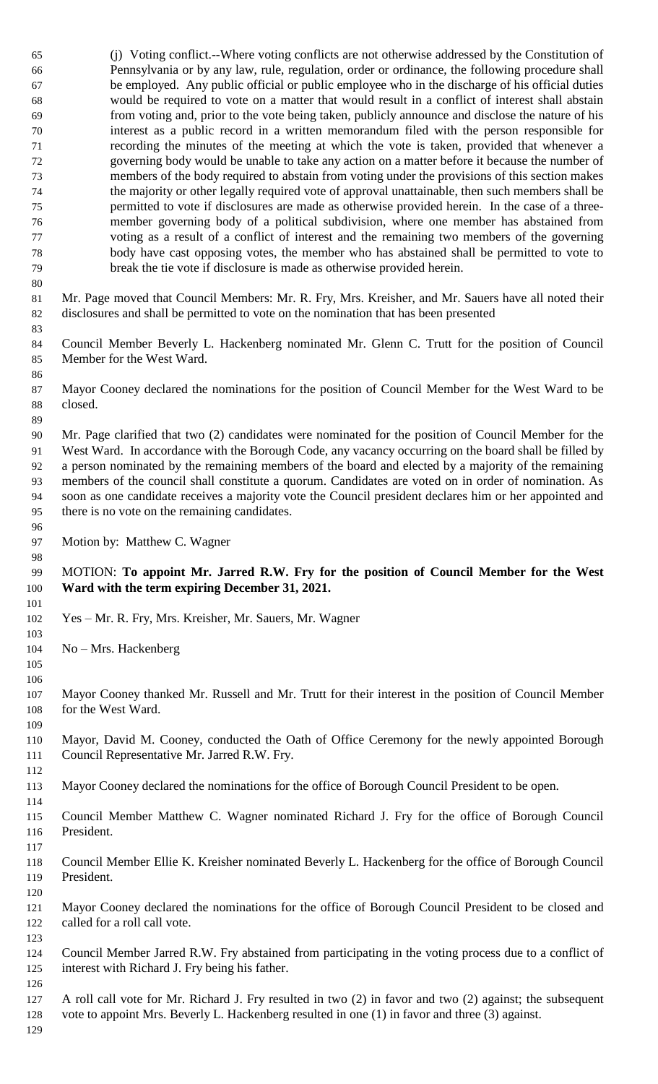(j) Voting conflict.--Where voting conflicts are not otherwise addressed by the Constitution of Pennsylvania or by any law, rule, regulation, order or ordinance, the following procedure shall be employed. Any public official or public employee who in the discharge of his official duties would be required to vote on a matter that would result in a conflict of interest shall abstain from voting and, prior to the vote being taken, publicly announce and disclose the nature of his interest as a public record in a written memorandum filed with the person responsible for recording the minutes of the meeting at which the vote is taken, provided that whenever a governing body would be unable to take any action on a matter before it because the number of members of the body required to abstain from voting under the provisions of this section makes the majority or other legally required vote of approval unattainable, then such members shall be permitted to vote if disclosures are made as otherwise provided herein. In the case of a three- member governing body of a political subdivision, where one member has abstained from voting as a result of a conflict of interest and the remaining two members of the governing body have cast opposing votes, the member who has abstained shall be permitted to vote to break the tie vote if disclosure is made as otherwise provided herein. 

 Mr. Page moved that Council Members: Mr. R. Fry, Mrs. Kreisher, and Mr. Sauers have all noted their disclosures and shall be permitted to vote on the nomination that has been presented

 Council Member Beverly L. Hackenberg nominated Mr. Glenn C. Trutt for the position of Council Member for the West Ward.

 Mayor Cooney declared the nominations for the position of Council Member for the West Ward to be closed.

 Mr. Page clarified that two (2) candidates were nominated for the position of Council Member for the West Ward. In accordance with the Borough Code, any vacancy occurring on the board shall be filled by a person nominated by the remaining members of the board and elected by a majority of the remaining members of the council shall constitute a quorum. Candidates are voted on in order of nomination. As soon as one candidate receives a majority vote the Council president declares him or her appointed and there is no vote on the remaining candidates.

Motion by: Matthew C. Wagner

## MOTION: **To appoint Mr. Jarred R.W. Fry for the position of Council Member for the West Ward with the term expiring December 31, 2021.**

- Yes Mr. R. Fry, Mrs. Kreisher, Mr. Sauers, Mr. Wagner
- No Mrs. Hackenberg
- 

 Mayor Cooney thanked Mr. Russell and Mr. Trutt for their interest in the position of Council Member 108 for the West Ward.

- Mayor, David M. Cooney, conducted the Oath of Office Ceremony for the newly appointed Borough Council Representative Mr. Jarred R.W. Fry.
- Mayor Cooney declared the nominations for the office of Borough Council President to be open.
- Council Member Matthew C. Wagner nominated Richard J. Fry for the office of Borough Council President.
	-

- Council Member Ellie K. Kreisher nominated Beverly L. Hackenberg for the office of Borough Council President.
- Mayor Cooney declared the nominations for the office of Borough Council President to be closed and called for a roll call vote.
- Council Member Jarred R.W. Fry abstained from participating in the voting process due to a conflict of interest with Richard J. Fry being his father.
- 
- A roll call vote for Mr. Richard J. Fry resulted in two (2) in favor and two (2) against; the subsequent
- vote to appoint Mrs. Beverly L. Hackenberg resulted in one (1) in favor and three (3) against.
-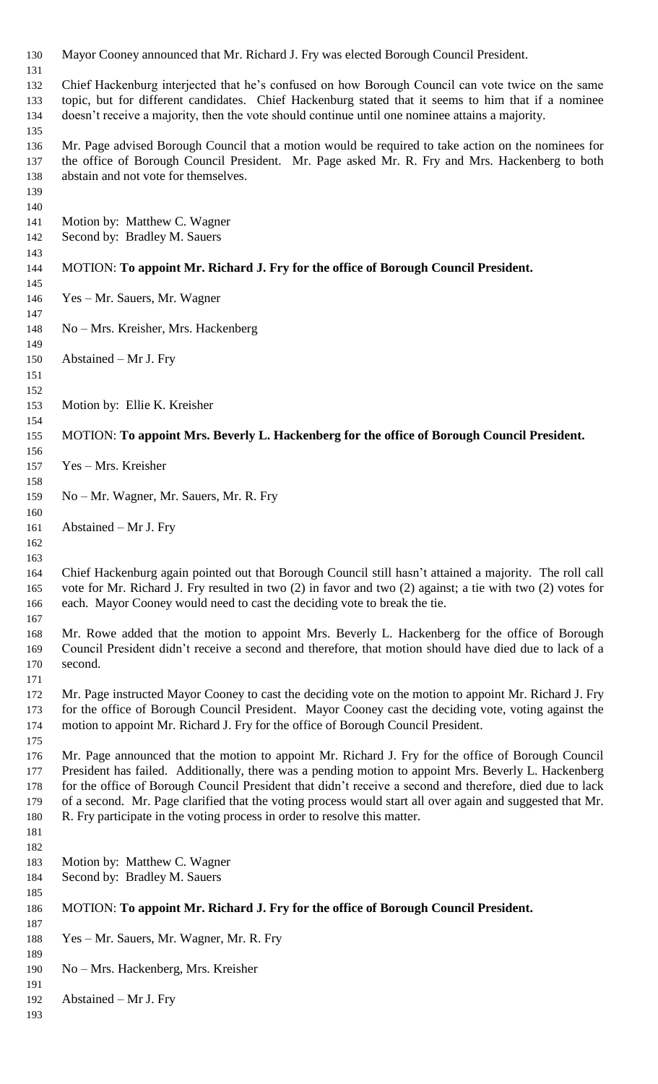Mayor Cooney announced that Mr. Richard J. Fry was elected Borough Council President. Chief Hackenburg interjected that he's confused on how Borough Council can vote twice on the same topic, but for different candidates. Chief Hackenburg stated that it seems to him that if a nominee doesn't receive a majority, then the vote should continue until one nominee attains a majority. Mr. Page advised Borough Council that a motion would be required to take action on the nominees for the office of Borough Council President. Mr. Page asked Mr. R. Fry and Mrs. Hackenberg to both abstain and not vote for themselves. Motion by: Matthew C. Wagner Second by: Bradley M. Sauers MOTION: **To appoint Mr. Richard J. Fry for the office of Borough Council President.** Yes – Mr. Sauers, Mr. Wagner No – Mrs. Kreisher, Mrs. Hackenberg Abstained – Mr J. Fry Motion by: Ellie K. Kreisher MOTION: **To appoint Mrs. Beverly L. Hackenberg for the office of Borough Council President.** Yes – Mrs. Kreisher No – Mr. Wagner, Mr. Sauers, Mr. R. Fry Abstained – Mr J. Fry Chief Hackenburg again pointed out that Borough Council still hasn't attained a majority. The roll call vote for Mr. Richard J. Fry resulted in two (2) in favor and two (2) against; a tie with two (2) votes for each. Mayor Cooney would need to cast the deciding vote to break the tie. Mr. Rowe added that the motion to appoint Mrs. Beverly L. Hackenberg for the office of Borough Council President didn't receive a second and therefore, that motion should have died due to lack of a second. Mr. Page instructed Mayor Cooney to cast the deciding vote on the motion to appoint Mr. Richard J. Fry for the office of Borough Council President. Mayor Cooney cast the deciding vote, voting against the motion to appoint Mr. Richard J. Fry for the office of Borough Council President. Mr. Page announced that the motion to appoint Mr. Richard J. Fry for the office of Borough Council President has failed. Additionally, there was a pending motion to appoint Mrs. Beverly L. Hackenberg for the office of Borough Council President that didn't receive a second and therefore, died due to lack of a second. Mr. Page clarified that the voting process would start all over again and suggested that Mr. R. Fry participate in the voting process in order to resolve this matter. Motion by: Matthew C. Wagner Second by: Bradley M. Sauers MOTION: **To appoint Mr. Richard J. Fry for the office of Borough Council President.** Yes – Mr. Sauers, Mr. Wagner, Mr. R. Fry No – Mrs. Hackenberg, Mrs. Kreisher Abstained – Mr J. Fry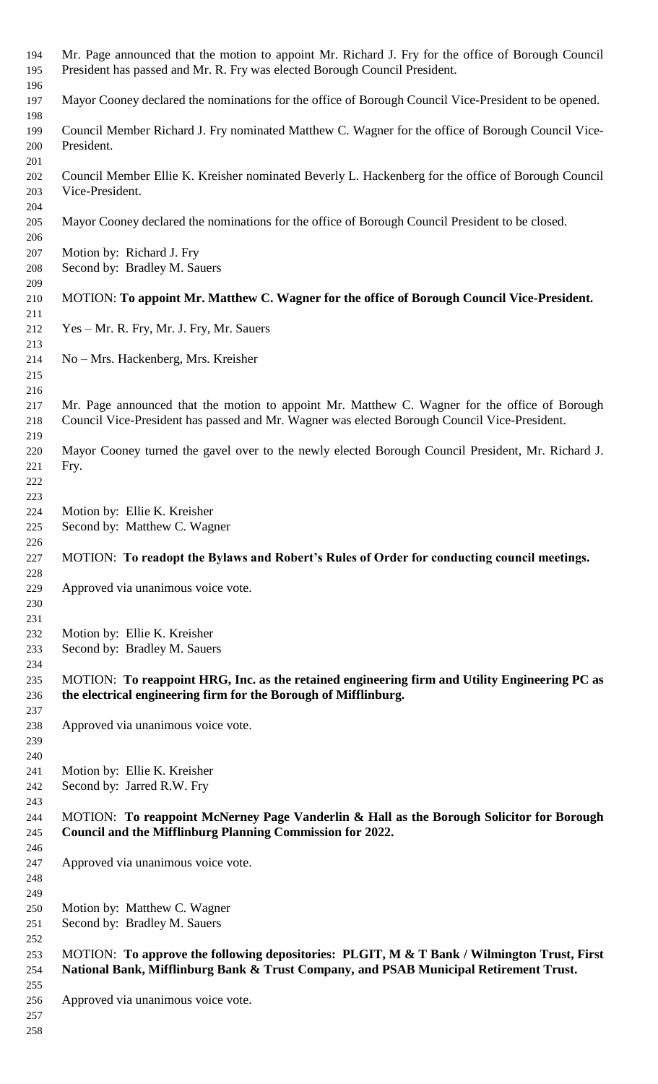| 194        | Mr. Page announced that the motion to appoint Mr. Richard J. Fry for the office of Borough Council                                                                                            |  |  |  |  |
|------------|-----------------------------------------------------------------------------------------------------------------------------------------------------------------------------------------------|--|--|--|--|
| 195<br>196 | President has passed and Mr. R. Fry was elected Borough Council President.                                                                                                                    |  |  |  |  |
| 197        | Mayor Cooney declared the nominations for the office of Borough Council Vice-President to be opened.                                                                                          |  |  |  |  |
| 198        |                                                                                                                                                                                               |  |  |  |  |
| 199        | Council Member Richard J. Fry nominated Matthew C. Wagner for the office of Borough Council Vice-                                                                                             |  |  |  |  |
| 200        | President.                                                                                                                                                                                    |  |  |  |  |
| 201<br>202 | Council Member Ellie K. Kreisher nominated Beverly L. Hackenberg for the office of Borough Council                                                                                            |  |  |  |  |
| 203        | Vice-President.                                                                                                                                                                               |  |  |  |  |
| 204        |                                                                                                                                                                                               |  |  |  |  |
| 205        | Mayor Cooney declared the nominations for the office of Borough Council President to be closed.                                                                                               |  |  |  |  |
| 206        |                                                                                                                                                                                               |  |  |  |  |
| 207        | Motion by: Richard J. Fry                                                                                                                                                                     |  |  |  |  |
| 208        | Second by: Bradley M. Sauers                                                                                                                                                                  |  |  |  |  |
| 209<br>210 | MOTION: To appoint Mr. Matthew C. Wagner for the office of Borough Council Vice-President.                                                                                                    |  |  |  |  |
| 211        |                                                                                                                                                                                               |  |  |  |  |
| 212        | Yes – Mr. R. Fry, Mr. J. Fry, Mr. Sauers                                                                                                                                                      |  |  |  |  |
| 213        |                                                                                                                                                                                               |  |  |  |  |
| 214        | No – Mrs. Hackenberg, Mrs. Kreisher                                                                                                                                                           |  |  |  |  |
| 215        |                                                                                                                                                                                               |  |  |  |  |
| 216        |                                                                                                                                                                                               |  |  |  |  |
| 217<br>218 | Mr. Page announced that the motion to appoint Mr. Matthew C. Wagner for the office of Borough<br>Council Vice-President has passed and Mr. Wagner was elected Borough Council Vice-President. |  |  |  |  |
| 219        |                                                                                                                                                                                               |  |  |  |  |
| 220        | Mayor Cooney turned the gavel over to the newly elected Borough Council President, Mr. Richard J.                                                                                             |  |  |  |  |
| 221        | Fry.                                                                                                                                                                                          |  |  |  |  |
| 222        |                                                                                                                                                                                               |  |  |  |  |
| 223        |                                                                                                                                                                                               |  |  |  |  |
| 224        | Motion by: Ellie K. Kreisher                                                                                                                                                                  |  |  |  |  |
| 225<br>226 | Second by: Matthew C. Wagner                                                                                                                                                                  |  |  |  |  |
|            |                                                                                                                                                                                               |  |  |  |  |
|            |                                                                                                                                                                                               |  |  |  |  |
| 227<br>228 | MOTION: To readopt the Bylaws and Robert's Rules of Order for conducting council meetings.                                                                                                    |  |  |  |  |
| 229        | Approved via unanimous voice vote.                                                                                                                                                            |  |  |  |  |
| 230        |                                                                                                                                                                                               |  |  |  |  |
| 231        |                                                                                                                                                                                               |  |  |  |  |
| 232        | Motion by: Ellie K. Kreisher                                                                                                                                                                  |  |  |  |  |
| 233        | Second by: Bradley M. Sauers                                                                                                                                                                  |  |  |  |  |
| 234<br>235 |                                                                                                                                                                                               |  |  |  |  |
| 236        | MOTION: To reappoint HRG, Inc. as the retained engineering firm and Utility Engineering PC as<br>the electrical engineering firm for the Borough of Mifflinburg.                              |  |  |  |  |
| 237        |                                                                                                                                                                                               |  |  |  |  |
| 238        | Approved via unanimous voice vote.                                                                                                                                                            |  |  |  |  |
| 239        |                                                                                                                                                                                               |  |  |  |  |
| 240        |                                                                                                                                                                                               |  |  |  |  |
| 241        | Motion by: Ellie K. Kreisher                                                                                                                                                                  |  |  |  |  |
| 242        | Second by: Jarred R.W. Fry                                                                                                                                                                    |  |  |  |  |
| 243<br>244 | MOTION: To reappoint McNerney Page Vanderlin & Hall as the Borough Solicitor for Borough                                                                                                      |  |  |  |  |
| 245        | Council and the Mifflinburg Planning Commission for 2022.                                                                                                                                     |  |  |  |  |
| 246        |                                                                                                                                                                                               |  |  |  |  |
| 247        | Approved via unanimous voice vote.                                                                                                                                                            |  |  |  |  |
| 248        |                                                                                                                                                                                               |  |  |  |  |
| 249        |                                                                                                                                                                                               |  |  |  |  |
| 250<br>251 | Motion by: Matthew C. Wagner<br>Second by: Bradley M. Sauers                                                                                                                                  |  |  |  |  |
| 252        |                                                                                                                                                                                               |  |  |  |  |
| 253        | MOTION: To approve the following depositories: PLGIT, M & T Bank / Wilmington Trust, First                                                                                                    |  |  |  |  |
| 254        | National Bank, Mifflinburg Bank & Trust Company, and PSAB Municipal Retirement Trust.                                                                                                         |  |  |  |  |
| 255        |                                                                                                                                                                                               |  |  |  |  |
| 256<br>257 | Approved via unanimous voice vote.                                                                                                                                                            |  |  |  |  |